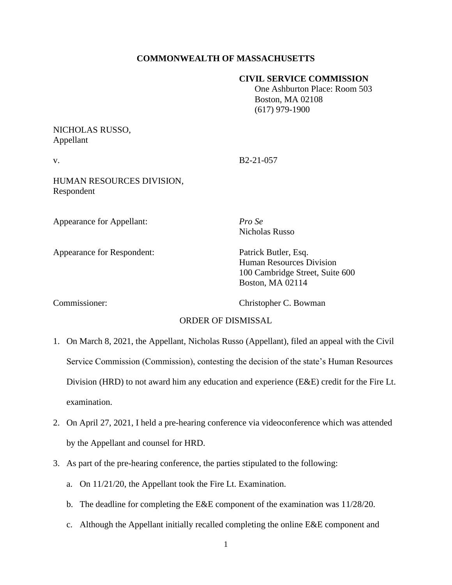# **COMMONWEALTH OF MASSACHUSETTS**

### **CIVIL SERVICE COMMISSION**

 One Ashburton Place: Room 503 Boston, MA 02108 (617) 979-1900

## NICHOLAS RUSSO, Appellant

v. B2-21-057

HUMAN RESOURCES DIVISION, Respondent

Appearance for Appellant: *Pro Se*

Appearance for Respondent: Patrick Butler, Esq.

Nicholas Russo

Human Resources Division 100 Cambridge Street, Suite 600 Boston, MA 02114

Commissioner: Christopher C. Bowman

### ORDER OF DISMISSAL

- 1. On March 8, 2021, the Appellant, Nicholas Russo (Appellant), filed an appeal with the Civil Service Commission (Commission), contesting the decision of the state's Human Resources Division (HRD) to not award him any education and experience (E&E) credit for the Fire Lt. examination.
- 2. On April 27, 2021, I held a pre-hearing conference via videoconference which was attended by the Appellant and counsel for HRD.
- 3. As part of the pre-hearing conference, the parties stipulated to the following:
	- a. On 11/21/20, the Appellant took the Fire Lt. Examination.
	- b. The deadline for completing the E&E component of the examination was 11/28/20.
	- c. Although the Appellant initially recalled completing the online E&E component and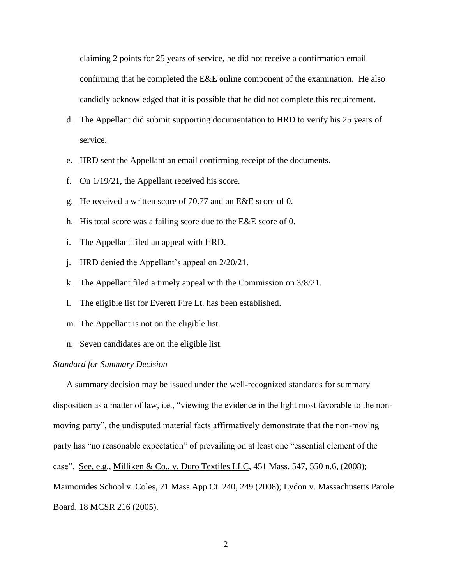claiming 2 points for 25 years of service, he did not receive a confirmation email confirming that he completed the E&E online component of the examination. He also candidly acknowledged that it is possible that he did not complete this requirement.

- d. The Appellant did submit supporting documentation to HRD to verify his 25 years of service.
- e. HRD sent the Appellant an email confirming receipt of the documents.
- f. On 1/19/21, the Appellant received his score.
- g. He received a written score of 70.77 and an E&E score of 0.
- h. His total score was a failing score due to the E&E score of 0.
- i. The Appellant filed an appeal with HRD.
- j. HRD denied the Appellant's appeal on 2/20/21.
- k. The Appellant filed a timely appeal with the Commission on 3/8/21.
- l. The eligible list for Everett Fire Lt. has been established.
- m. The Appellant is not on the eligible list.
- n. Seven candidates are on the eligible list.

#### *Standard for Summary Decision*

A summary decision may be issued under the well-recognized standards for summary disposition as a matter of law, i.e., "viewing the evidence in the light most favorable to the nonmoving party", the undisputed material facts affirmatively demonstrate that the non-moving party has "no reasonable expectation" of prevailing on at least one "essential element of the case". See, e.g., Milliken & Co., v. Duro Textiles LLC, 451 Mass. 547, 550 n.6, (2008); Maimonides School v. Coles, 71 Mass.App.Ct. 240, 249 (2008); Lydon v. Massachusetts Parole Board, 18 MCSR 216 (2005).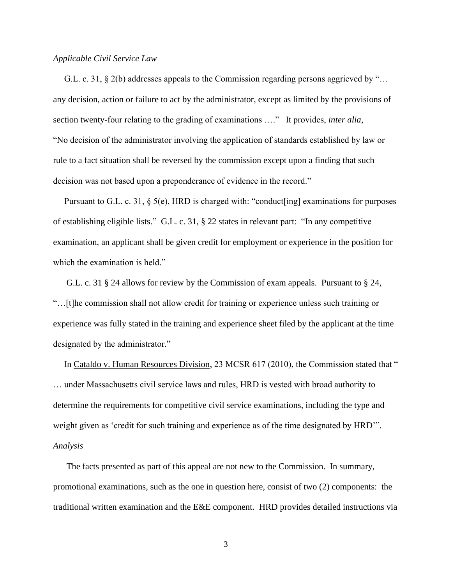#### *Applicable Civil Service Law*

 G.L. c. 31, § 2(b) addresses appeals to the Commission regarding persons aggrieved by "… any decision, action or failure to act by the administrator, except as limited by the provisions of section twenty-four relating to the grading of examinations …." It provides, *inter alia*, "No decision of the administrator involving the application of standards established by law or rule to a fact situation shall be reversed by the commission except upon a finding that such decision was not based upon a preponderance of evidence in the record."

 Pursuant to G.L. c. 31, § 5(e), HRD is charged with: "conduct[ing] examinations for purposes of establishing eligible lists." G.L. c. 31, § 22 states in relevant part: "In any competitive examination, an applicant shall be given credit for employment or experience in the position for which the examination is held."

 G.L. c. 31 § 24 allows for review by the Commission of exam appeals. Pursuant to § 24, "…[t]he commission shall not allow credit for training or experience unless such training or experience was fully stated in the training and experience sheet filed by the applicant at the time designated by the administrator."

In Cataldo v. Human Resources Division, 23 MCSR 617 (2010), the Commission stated that " … under Massachusetts civil service laws and rules, HRD is vested with broad authority to determine the requirements for competitive civil service examinations, including the type and weight given as 'credit for such training and experience as of the time designated by HRD'". *Analysis*

 The facts presented as part of this appeal are not new to the Commission. In summary, promotional examinations, such as the one in question here, consist of two (2) components: the traditional written examination and the E&E component. HRD provides detailed instructions via

3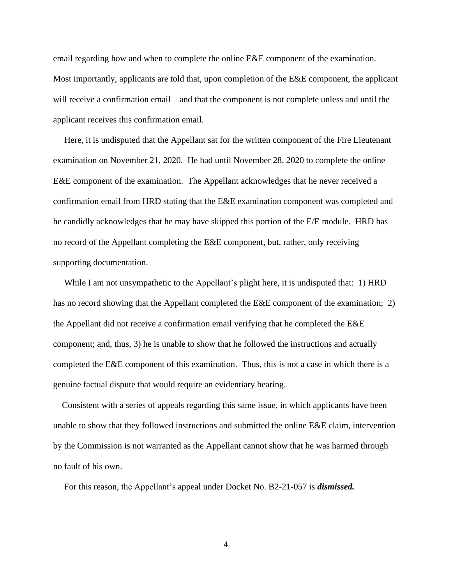email regarding how and when to complete the online E&E component of the examination. Most importantly, applicants are told that, upon completion of the E&E component, the applicant will receive a confirmation email – and that the component is not complete unless and until the applicant receives this confirmation email.

 Here, it is undisputed that the Appellant sat for the written component of the Fire Lieutenant examination on November 21, 2020. He had until November 28, 2020 to complete the online E&E component of the examination. The Appellant acknowledges that he never received a confirmation email from HRD stating that the E&E examination component was completed and he candidly acknowledges that he may have skipped this portion of the E/E module. HRD has no record of the Appellant completing the E&E component, but, rather, only receiving supporting documentation.

 While I am not unsympathetic to the Appellant's plight here, it is undisputed that: 1) HRD has no record showing that the Appellant completed the E&E component of the examination; 2) the Appellant did not receive a confirmation email verifying that he completed the E&E component; and, thus, 3) he is unable to show that he followed the instructions and actually completed the E&E component of this examination. Thus, this is not a case in which there is a genuine factual dispute that would require an evidentiary hearing.

 Consistent with a series of appeals regarding this same issue, in which applicants have been unable to show that they followed instructions and submitted the online E&E claim, intervention by the Commission is not warranted as the Appellant cannot show that he was harmed through no fault of his own.

For this reason, the Appellant's appeal under Docket No. B2-21-057 is *dismissed.*

4